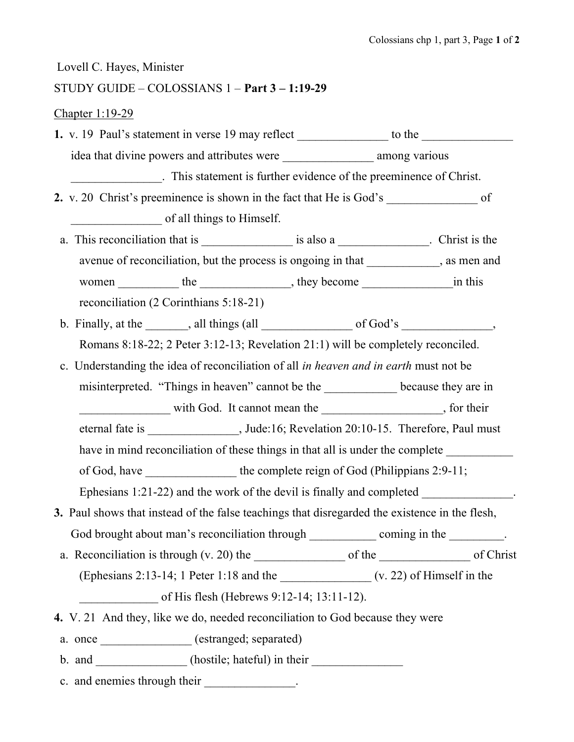## Lovell C. Hayes, Minister

## STUDY GUIDE – COLOSSIANS 1 – Part 3 – 1:19-29

## Chapter 1:19-29

|                                                                                          | 1. v. 19 Paul's statement in verse 19 may reflect _______________ to the ___________________________ |  |  |  |  |
|------------------------------------------------------------------------------------------|------------------------------------------------------------------------------------------------------|--|--|--|--|
|                                                                                          |                                                                                                      |  |  |  |  |
| This statement is further evidence of the preeminence of Christ.                         |                                                                                                      |  |  |  |  |
|                                                                                          |                                                                                                      |  |  |  |  |
|                                                                                          | of all things to Himself.                                                                            |  |  |  |  |
|                                                                                          |                                                                                                      |  |  |  |  |
|                                                                                          | avenue of reconciliation, but the process is ongoing in that ___________, as men and                 |  |  |  |  |
|                                                                                          |                                                                                                      |  |  |  |  |
|                                                                                          | reconciliation (2 Corinthians 5:18-21)                                                               |  |  |  |  |
|                                                                                          | b. Finally, at the $\_\_\_\_$ , all things (all $\_\_\_\_\_$ of God's $\_\_\_\_\_\_\_$               |  |  |  |  |
|                                                                                          | Romans 8:18-22; 2 Peter 3:12-13; Revelation 21:1) will be completely reconciled.                     |  |  |  |  |
| c. Understanding the idea of reconciliation of all in heaven and in earth must not be    |                                                                                                      |  |  |  |  |
|                                                                                          | misinterpreted. "Things in heaven" cannot be the ___________ because they are in                     |  |  |  |  |
|                                                                                          | with God. It cannot mean the ______________________, for their                                       |  |  |  |  |
| eternal fate is _________________, Jude:16; Revelation 20:10-15. Therefore, Paul must    |                                                                                                      |  |  |  |  |
| have in mind reconciliation of these things in that all is under the complete __________ |                                                                                                      |  |  |  |  |
| of God, have _______________ the complete reign of God (Philippians 2:9-11;              |                                                                                                      |  |  |  |  |
| Ephesians 1:21-22) and the work of the devil is finally and completed _____________.     |                                                                                                      |  |  |  |  |
|                                                                                          | 3. Paul shows that instead of the false teachings that disregarded the existence in the flesh,       |  |  |  |  |
|                                                                                          | God brought about man's reconciliation through _____________ coming in the _________.                |  |  |  |  |
|                                                                                          |                                                                                                      |  |  |  |  |
|                                                                                          |                                                                                                      |  |  |  |  |
|                                                                                          | of His flesh (Hebrews 9:12-14; 13:11-12).                                                            |  |  |  |  |
|                                                                                          | 4. V. 21 And they, like we do, needed reconciliation to God because they were                        |  |  |  |  |
|                                                                                          | a. once ______________ (estranged; separated)                                                        |  |  |  |  |
|                                                                                          | b. and _______________(hostile; hateful) in their ______________________________                     |  |  |  |  |
|                                                                                          |                                                                                                      |  |  |  |  |

c. and enemies through their \_\_\_\_\_\_\_\_\_\_\_\_\_\_.